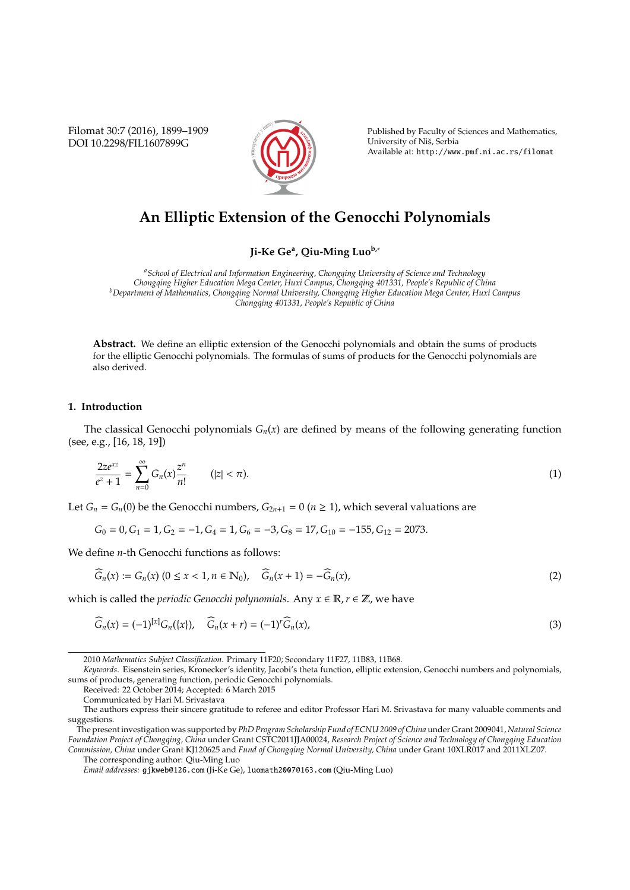Filomat 30:7 (2016), 1899–1909 DOI 10.2298/FIL1607899G



Published by Faculty of Sciences and Mathematics, University of Niš, Serbia Available at: http://www.pmf.ni.ac.rs/filomat

# **An Elliptic Extension of the Genocchi Polynomials**

**Ji-Ke Ge<sup>a</sup> , Qiu-Ming Luob,**<sup>∗</sup>

*<sup>a</sup>School of Electrical and Information Engineering, Chongqing University of Science and Technology Chongqing Higher Education Mega Center, Huxi Campus, Chongqing 401331, People's Republic of China <sup>b</sup>Department of Mathematics, Chongqing Normal University, Chongqing Higher Education Mega Center, Huxi Campus Chongqing 401331, People's Republic of China*

**Abstract.** We define an elliptic extension of the Genocchi polynomials and obtain the sums of products for the elliptic Genocchi polynomials. The formulas of sums of products for the Genocchi polynomials are also derived.

#### **1. Introduction**

The classical Genocchi polynomials  $G_n(x)$  are defined by means of the following generating function (see, e.g., [16, 18, 19])

$$
\frac{2ze^{xz}}{e^z+1} = \sum_{n=0}^{\infty} G_n(x) \frac{z^n}{n!} \qquad (|z| < \pi). \tag{1}
$$

Let  $G_n = G_n(0)$  be the Genocchi numbers,  $G_{2n+1} = 0$  ( $n \ge 1$ ), which several valuations are

$$
G_0 = 0, G_1 = 1, G_2 = -1, G_4 = 1, G_6 = -3, G_8 = 17, G_{10} = -155, G_{12} = 2073.
$$

We define *n*-th Genocchi functions as follows:

$$
\widehat{G}_n(x) := G_n(x) \ (0 \le x < 1, n \in \mathbb{N}_0), \quad \widehat{G}_n(x+1) = -\widehat{G}_n(x), \tag{2}
$$

which is called the *periodic Genocchi polynomials*. Any  $x \in \mathbb{R}$ ,  $r \in \mathbb{Z}$ , we have

$$
\widehat{G}_n(x) = (-1)^{[x]} G_n(\{x\}), \quad \widehat{G}_n(x+r) = (-1)^r \widehat{G}_n(x), \tag{3}
$$

Received: 22 October 2014; Accepted: 6 March 2015

The corresponding author: Qiu-Ming Luo

<sup>2010</sup> *Mathematics Subject Classification*. Primary 11F20; Secondary 11F27, 11B83, 11B68.

*Keywords*. Eisenstein series, Kronecker's identity, Jacobi's theta function, elliptic extension, Genocchi numbers and polynomials, sums of products, generating function, periodic Genocchi polynomials.

Communicated by Hari M. Srivastava

The authors express their sincere gratitude to referee and editor Professor Hari M. Srivastava for many valuable comments and suggestions.

The present investigation was supported by *PhD Program Scholarship Fund of ECNU 2009 of China* under Grant 2009041, *Natural Science Foundation Project of Chongqing, China* under Grant CSTC2011JJA00024, *Research Project of Science and Technology of Chongqing Education Commission, China* under Grant KJ120625 and *Fund of Chongqing Normal University, China* under Grant 10XLR017 and 2011XLZ07.

*Email addresses:* gjkweb@126.com (Ji-Ke Ge), luomath2007@163.com (Qiu-Ming Luo)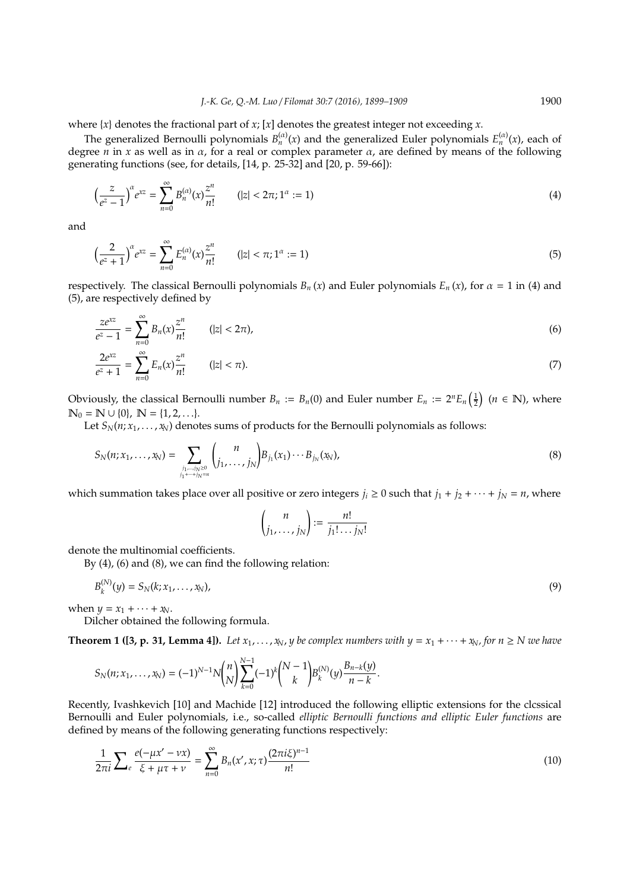where  $\{x\}$  denotes the fractional part of *x*; [*x*] denotes the greatest integer not exceeding *x*.

The generalized Bernoulli polynomials  $B_n^{(\alpha)}(x)$  and the generalized Euler polynomials  $E_n^{(\alpha)}(x)$ , each of degree  $n$  in  $x$  as well as in  $\alpha$ , for a real or complex parameter  $\alpha$ , are defined by means of the following generating functions (see, for details, [14, p. 25-32] and [20, p. 59-66]):

$$
\left(\frac{z}{e^z - 1}\right)^{\alpha} e^{xz} = \sum_{n=0}^{\infty} B_n^{(\alpha)}(x) \frac{z^n}{n!} \qquad (|z| < 2\pi; 1^{\alpha} := 1) \tag{4}
$$

and

$$
\left(\frac{2}{e^z+1}\right)^{\alpha}e^{xz} = \sum_{n=0}^{\infty} E_n^{(\alpha)}(x)\frac{z^n}{n!} \qquad (|z| < \pi; 1^{\alpha} := 1) \tag{5}
$$

respectively. The classical Bernoulli polynomials  $B_n(x)$  and Euler polynomials  $E_n(x)$ , for  $\alpha = 1$  in (4) and (5), are respectively defined by

$$
\frac{ze^{xz}}{e^z - 1} = \sum_{n=0}^{\infty} B_n(x) \frac{z^n}{n!} \qquad (|z| < 2\pi),
$$
\n(6)

$$
\frac{2e^{xz}}{e^z+1} = \sum_{n=0}^{\infty} E_n(x) \frac{z^n}{n!} \qquad (|z| < \pi). \tag{7}
$$

Obviously, the classical Bernoulli number  $B_n := B_n(0)$  and Euler number  $E_n := 2^n E_n\left(\frac{1}{2}\right)$   $(n \in \mathbb{N})$ , where  $\mathbb{N}_0 = \mathbb{N} \cup \{0\}, \mathbb{N} = \{1, 2, \ldots\}.$ 

Let  $S_N(n; x_1, \ldots, x_N)$  denotes sums of products for the Bernoulli polynomials as follows:

$$
S_N(n; x_1, \ldots, x_N) = \sum_{\substack{j_1, \ldots, j_N \ge 0 \\ j_1 + \cdots + j_N = n}} {n \choose j_1, \ldots, j_N} B_{j_1}(x_1) \cdots B_{j_N}(x_N), \qquad (8)
$$

which summation takes place over all positive or zero integers  $j_i \ge 0$  such that  $j_1 + j_2 + \cdots + j_N = n$ , where

$$
\binom{n}{j_1,\ldots,j_N} := \frac{n!}{j_1!\ldots j_N!}
$$

denote the multinomial coefficients.

By (4), (6) and (8), we can find the following relation:

$$
B_k^{(N)}(y) = S_N(k; x_1, \dots, x_N),
$$
\n(9)

when  $y = x_1 + \cdots + x_N$ .

Dilcher obtained the following formula.

**Theorem 1 ([3, p. 31, Lemma 4]).** Let  $x_1, \ldots, x_N$ , *y* be complex numbers with  $y = x_1 + \cdots + x_N$ , for  $n \geq N$  we have

$$
S_N(n; x_1, ..., x_N) = (-1)^{N-1} N {n \choose N} \sum_{k=0}^{N-1} (-1)^k {N-1 \choose k} B_k^{(N)}(y) \frac{B_{n-k}(y)}{n-k}.
$$

Recently, Ivashkevich [10] and Machide [12] introduced the following elliptic extensions for the clcssical Bernoulli and Euler polynomials, i.e., so-called *elliptic Bernoulli functions and elliptic Euler functions* are defined by means of the following generating functions respectively:

$$
\frac{1}{2\pi i} \sum_{e} \frac{e(-\mu x' - \nu x)}{\xi + \mu \tau + \nu} = \sum_{n=0}^{\infty} B_n(x', x; \tau) \frac{(2\pi i \xi)^{n-1}}{n!}
$$
(10)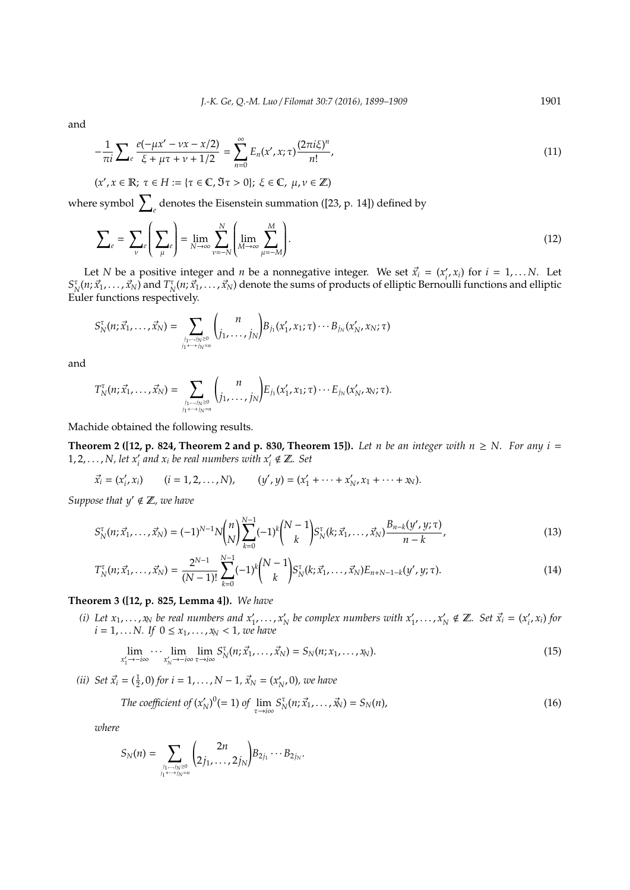and

$$
-\frac{1}{\pi i} \sum_{e} \frac{e(-\mu x' - \nu x - x/2)}{\xi + \mu \tau + \nu + 1/2} = \sum_{n=0}^{\infty} E_n(x', x; \tau) \frac{(2\pi i \xi)^n}{n!},
$$
\n(11)

$$
(x',x\in\mathbb{R};\ \tau\in H:=\{\tau\in\mathbb{C},\Im\tau>0\};\ \xi\in\mathbb{C},\ \mu,\nu\in\mathbb{Z})
$$

where symbol  $\sum_{e}$  denotes the Eisenstein summation ([23, p. 14]) defined by

$$
\sum_{e} = \sum_{\nu} e \left( \sum_{\mu} e \right) = \lim_{N \to \infty} \sum_{\nu = -N}^{N} \left( \lim_{M \to \infty} \sum_{\mu = -M}^{M} \right).
$$
 (12)

Let *N* be a positive integer and *n* be a nonnegative integer. We set  $\vec{x}_i = (x_i^i)$  $i<sub>i</sub>$ ,  $x<sub>i</sub>$ ) for  $i = 1,...N$ . Let  $S_N^{\tau}(n;\vec{x}_1,\ldots,\vec{x}_N)$  and  $T_N^{\tau}(n;\vec{x}_1,\ldots,\vec{x}_N)$  denote the sums of products of elliptic Bernoulli functions and elliptic Euler functions respectively.

$$
S_N^{\tau}(n; \vec{x}_1, ..., \vec{x}_N) = \sum_{\substack{j_1, ..., j_N \geq 0 \\ j_1 + ... + j_N = n}} {n \choose j_1, ..., j_N} B_{j_1}(x'_1, x_1; \tau) \cdots B_{j_N}(x'_N, x_N; \tau)
$$

and

$$
T_N^{\tau}(n; \vec{x}_1, \ldots, \vec{x}_N) = \sum_{\substack{j_1, \ldots, j_N \geq 0 \\ j_1 + \cdots + j_N = n}} {n \choose j_1, \ldots, j_N} E_{j_1}(x'_1, x_1; \tau) \cdots E_{j_N}(x'_N, x_N; \tau).
$$

Machide obtained the following results.

**Theorem 2 ([12, p. 824, Theorem 2 and p. 830, Theorem 15]).** Let n be an integer with  $n \ge N$ . For any  $i =$ 1, 2,  $\dots$ , *N*, let  $x_i'$  and  $x_i$  be real numbers with  $x_i' \notin \mathbb{Z}$ . Set

$$
\vec{x}_i = (x'_i, x_i)
$$
  $(i = 1, 2, ..., N),$   $(y', y) = (x'_1 + ... + x'_N, x_1 + ... + x_N).$ 

*Suppose that*  $y' \notin \mathbb{Z}$ *, we have* 

$$
S_N^{\tau}(n; \vec{x}_1, \dots, \vec{x}_N) = (-1)^{N-1} N \binom{n}{N} \sum_{k=0}^{N-1} (-1)^k \binom{N-1}{k} S_N^{\tau}(k; \vec{x}_1, \dots, \vec{x}_N) \frac{B_{n-k}(y', y; \tau)}{n-k},
$$
\n(13)

$$
T_N^{\tau}(n; \vec{x}_1, \dots, \vec{x}_N) = \frac{2^{N-1}}{(N-1)!} \sum_{k=0}^{N-1} (-1)^k {N-1 \choose k} S_N^{\tau}(k; \vec{x}_1, \dots, \vec{x}_N) E_{n+N-1-k}(y', y; \tau).
$$
\n(14)

## **Theorem 3 ([12, p. 825, Lemma 4]).** *We have*

(*i*) Let  $x_1, \ldots, x_N$  be real numbers and  $x'_1, \ldots, x'_N$  $\mathbf{x}'_{N}$  be complex numbers with  $\mathbf{x}'_{1}, \ldots, \mathbf{x}'_{N}$  $\gamma_N \notin \mathbb{Z}$ *. Set*  $\vec{x}_i = (x_i)$ *i* , *xi*) *for*  $i = 1, \ldots N$ . If  $0 \le x_1, \ldots, x_N < 1$ , we have

$$
\lim_{x_1' \to -i\infty} \cdots \lim_{x_N' \to -i\infty} \lim_{\tau \to i\infty} S_N^{\tau}(n; \vec{x}_1, \dots, \vec{x}_N) = S_N(n; x_1, \dots, x_N).
$$
\n(15)

*(ii) Set*  $\vec{x}_i = (\frac{1}{2}, 0)$  *for*  $i = 1, ..., N - 1$ ,  $\vec{x}_N = (x'_k)$ *N* , 0)*, we have*

The coefficient of 
$$
(x'_N)^0 (= 1)
$$
 of  $\lim_{\tau \to i\infty} S_N^{\tau}(n; \vec{x}_1, \dots, \vec{x}_N) = S_N(n)$ , (16)

*where*

$$
S_N(n)=\sum_{\stackrel{j_1,\ldots,j_N\geq 0}{j_1+\cdots+j_N=n}}\binom{2n}{2j_1,\ldots,2j_N}B_{2j_1}\cdots B_{2j_N}.
$$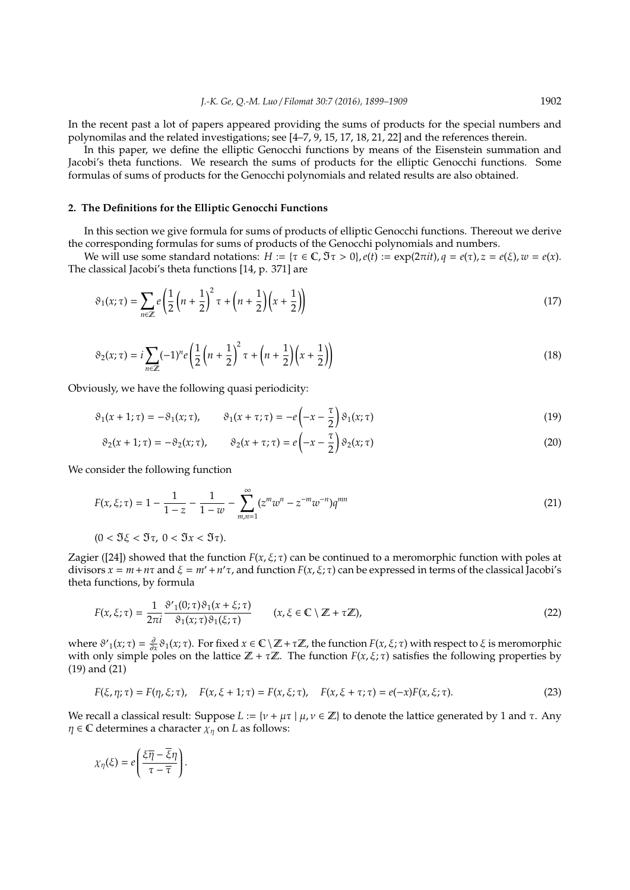In the recent past a lot of papers appeared providing the sums of products for the special numbers and polynomilas and the related investigations; see [4–7, 9, 15, 17, 18, 21, 22] and the references therein.

In this paper, we define the elliptic Genocchi functions by means of the Eisenstein summation and Jacobi's theta functions. We research the sums of products for the elliptic Genocchi functions. Some formulas of sums of products for the Genocchi polynomials and related results are also obtained.

### **2. The Definitions for the Elliptic Genocchi Functions**

In this section we give formula for sums of products of elliptic Genocchi functions. Thereout we derive the corresponding formulas for sums of products of the Genocchi polynomials and numbers.

We will use some standard notations:  $H := \{\tau \in \mathbb{C}, \Im \tau > 0\}, e(t) := \exp(2\pi i t), q = e(\tau), z = e(\xi), w = e(x).$ The classical Jacobi's theta functions [14, p. 371] are

$$
\vartheta_1(x;\tau) = \sum_{n \in \mathbb{Z}} e\left(\frac{1}{2}\left(n + \frac{1}{2}\right)^2 \tau + \left(n + \frac{1}{2}\right)\left(x + \frac{1}{2}\right)\right) \tag{17}
$$

$$
\vartheta_2(x;\tau) = i \sum_{n \in \mathbb{Z}} (-1)^n e \left( \frac{1}{2} \left( n + \frac{1}{2} \right)^2 \tau + \left( n + \frac{1}{2} \right) \left( x + \frac{1}{2} \right) \right) \tag{18}
$$

Obviously, we have the following quasi periodicity:

$$
\vartheta_1(x+1;\tau) = -\vartheta_1(x;\tau), \qquad \vartheta_1(x+\tau;\tau) = -e\left(-x-\frac{\tau}{2}\right)\vartheta_1(x;\tau)
$$
\n(19)

$$
\vartheta_2(x+1;\tau) = -\vartheta_2(x;\tau), \qquad \vartheta_2(x+\tau;\tau) = e\left(-x-\frac{\tau}{2}\right)\vartheta_2(x;\tau)
$$
\n(20)

We consider the following function

$$
F(x,\xi;\tau) = 1 - \frac{1}{1-z} - \frac{1}{1-w} - \sum_{m,n=1}^{\infty} (z^m w^n - z^{-m} w^{-n}) q^{mn}
$$
\n(21)

$$
(0<\Im \xi<\Im \tau,\;0<\Im x<\Im \tau).
$$

Zagier ([24]) showed that the function  $F(x, \xi, \tau)$  can be continued to a meromorphic function with poles at divisors  $x = m + n\tau$  and  $\xi = m' + n'\tau$ , and function  $F(x, \xi; \tau)$  can be expressed in terms of the classical Jacobi's theta functions, by formula

$$
F(x,\xi;\tau) = \frac{1}{2\pi i} \frac{\vartheta'_{1}(0;\tau)\vartheta_{1}(x+\xi;\tau)}{\vartheta_{1}(x;\tau)\vartheta_{1}(\xi;\tau)} \qquad (x,\xi \in \mathbb{C} \setminus \mathbb{Z} + \tau \mathbb{Z}), \tag{22}
$$

where  $\vartheta'_{1}(x;\tau) = \frac{\partial}{\partial x}\vartheta_{1}(x;\tau)$ . For fixed  $x \in \mathbb{C} \setminus \mathbb{Z} + \tau \mathbb{Z}$ , the function  $F(x,\xi;\tau)$  with respect to  $\xi$  is meromorphic with only simple poles on the lattice  $\mathbb{Z} + \tau \mathbb{Z}$ . The function  $F(x, \xi; \tau)$  satisfies the following properties by (19) and (21)

$$
F(\xi, \eta; \tau) = F(\eta, \xi; \tau), \quad F(x, \xi + 1; \tau) = F(x, \xi; \tau), \quad F(x, \xi + \tau; \tau) = e(-x)F(x, \xi; \tau).
$$
 (23)

We recall a classical result: Suppose *L* := { $ν + μτ$  |  $μ, ν \in \mathbb{Z}$ } to denote the lattice generated by 1 and τ. Any  $\eta \in \mathbb{C}$  determines a character  $\chi_{\eta}$  on *L* as follows:

$$
\chi_{\eta}(\xi) = e \left( \frac{\xi \overline{\eta} - \overline{\xi} \eta}{\tau - \overline{\tau}} \right)
$$

.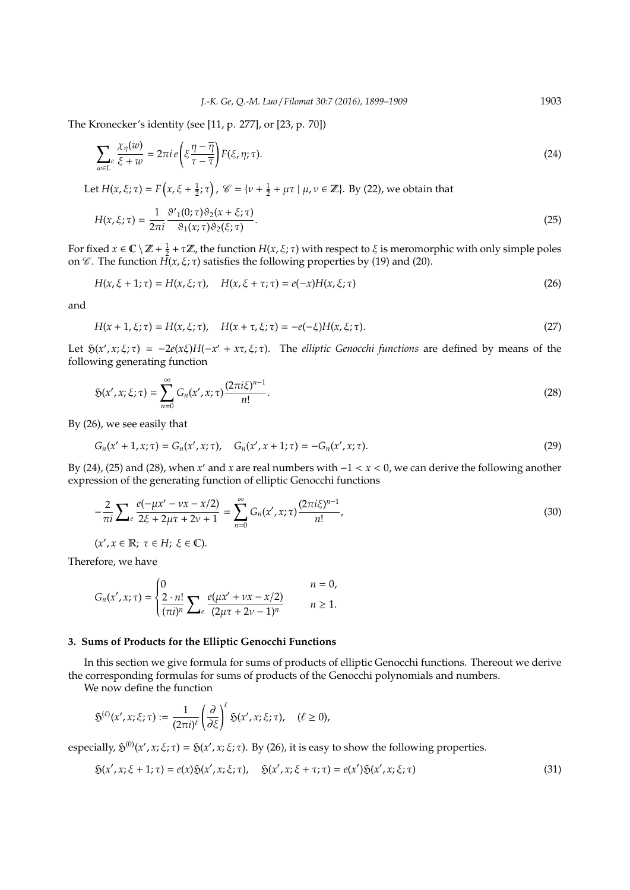The Kronecker's identity (see [11, p. 277], or [23, p. 70])

$$
\sum_{w \in L^e} \frac{\chi_{\eta}(w)}{\xi + w} = 2\pi i \, e \left( \xi \frac{\eta - \overline{\eta}}{\tau - \overline{\tau}} \right) F(\xi, \eta; \tau). \tag{24}
$$

Let  $H(x,\xi;\tau) = F\left(x,\xi+\frac{1}{2};\tau\right)$ ,  $\mathscr{C} = \{v+\frac{1}{2}+\mu\tau \mid \mu,v \in \mathbb{Z}\}\)$ . By (22), we obtain that

$$
H(x,\xi;\tau) = \frac{1}{2\pi i} \frac{\vartheta'_{1}(0;\tau)\vartheta_{2}(x+\xi;\tau)}{\vartheta_{1}(x;\tau)\vartheta_{2}(\xi;\tau)}.
$$
\n(25)

For fixed  $x \in \mathbb{C} \setminus \mathbb{Z} + \frac{1}{2} + \tau \mathbb{Z}$ , the function  $H(x, \xi; \tau)$  with respect to  $\xi$  is meromorphic with only simple poles on  $\mathscr C$ . The function  $H(x, \xi; \tau)$  satisfies the following properties by (19) and (20).

$$
H(x, \xi + 1; \tau) = H(x, \xi; \tau), \quad H(x, \xi + \tau; \tau) = e(-x)H(x, \xi; \tau)
$$
\n(26)

and

$$
H(x + 1, \xi; \tau) = H(x, \xi; \tau), \quad H(x + \tau, \xi; \tau) = -e(-\xi)H(x, \xi; \tau).
$$
\n(27)

Let  $\mathfrak{H}(x', x; \xi; \tau) = -2e(x\xi)H(-x' + x\tau, \xi; \tau)$ . The *elliptic Genocchi functions* are defined by means of the following generating function

$$
\mathfrak{H}(x', x; \xi; \tau) = \sum_{n=0}^{\infty} G_n(x', x; \tau) \frac{(2\pi i \xi)^{n-1}}{n!}.
$$
\n(28)

By (26), we see easily that

$$
G_n(x'+1,x;\tau) = G_n(x',x;\tau), \quad G_n(x',x+1;\tau) = -G_n(x',x;\tau).
$$
 (29)

By (24), (25) and (28), when *x'* and *x* are real numbers with −1 < *x* < 0, we can derive the following another expression of the generating function of elliptic Genocchi functions

$$
-\frac{2}{\pi i} \sum_{e} \frac{e(-\mu x' - \nu x - x/2)}{2\xi + 2\mu\tau + 2\nu + 1} = \sum_{n=0}^{\infty} G_n(x', x; \tau) \frac{(2\pi i \xi)^{n-1}}{n!},
$$
\n(30)

 $(x', x \in \mathbb{R}; \tau \in H; \xi \in \mathbb{C}).$ 

Therefore, we have

$$
G_n(x', x; \tau) = \begin{cases} 0 & n = 0, \\ \frac{2 \cdot n!}{(\pi i)^n} \sum_{e} \frac{e(\mu x' + \nu x - x/2)}{(2\mu \tau + 2\nu - 1)^n} & n \ge 1. \end{cases}
$$

## **3. Sums of Products for the Elliptic Genocchi Functions**

In this section we give formula for sums of products of elliptic Genocchi functions. Thereout we derive the corresponding formulas for sums of products of the Genocchi polynomials and numbers.

We now define the function

$$
\mathfrak{H}^{(\ell)}(x',x;\xi;\tau) := \frac{1}{(2\pi i)^{\ell}} \left(\frac{\partial}{\partial \xi}\right)^{\ell} \mathfrak{H}(x',x;\xi;\tau), \quad (\ell \ge 0),
$$

especially,  $\mathfrak{H}^{(0)}(x', x; \xi; \tau) = \mathfrak{H}(x', x; \xi; \tau)$ . By (26), it is easy to show the following properties.

$$
\mathfrak{H}(x',x;\xi+1;\tau) = e(x)\mathfrak{H}(x',x;\xi;\tau), \quad \mathfrak{H}(x',x;\xi+\tau;\tau) = e(x')\mathfrak{H}(x',x;\xi;\tau)
$$
\n(31)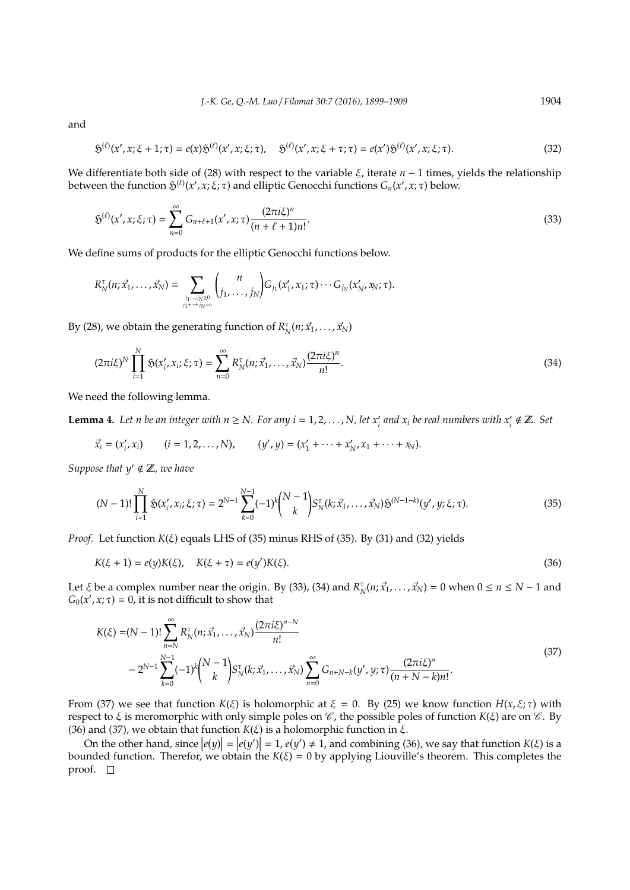and

$$
\mathfrak{H}^{(\ell)}(x', x; \xi + 1; \tau) = e(x)\mathfrak{H}^{(\ell)}(x', x; \xi; \tau), \quad \mathfrak{H}^{(\ell)}(x', x; \xi + \tau; \tau) = e(x')\mathfrak{H}^{(\ell)}(x', x; \xi; \tau). \tag{32}
$$

We differentiate both side of (28) with respect to the variable *ξ*, iterate *n* − 1 times, yields the relationship between the function  $\mathfrak{H}^{(\ell)}(x', x; \xi; \tau)$  and elliptic Genocchi functions  $G_n(x', x; \tau)$  below.

$$
\mathfrak{H}^{(\ell)}(x', x; \xi; \tau) = \sum_{n=0}^{\infty} G_{n+\ell+1}(x', x; \tau) \frac{(2\pi i \xi)^n}{(n+\ell+1)n!}.
$$
\n(33)

We define sums of products for the elliptic Genocchi functions below.

$$
R_N^{\tau}(n; \vec{x}_1, \ldots, \vec{x}_N) = \sum_{\substack{j_1, \ldots, j_N \geq 0 \\ j_1 + \cdots + j_N = n}} {n \choose j_1, \ldots, j_N} G_{j_1}(x'_1, x_1; \tau) \cdots G_{j_N}(x'_N, x_N; \tau).
$$

By (28), we obtain the generating function of  $R_N^{\tau}(n; \vec{x}_1, \dots, \vec{x}_N)$ 

$$
(2\pi i\xi)^N \prod_{i=1}^N \tilde{S}(x'_i, x_i; \xi; \tau) = \sum_{n=0}^\infty R_N^{\tau}(n; \vec{x}_1, \dots, \vec{x}_N) \frac{(2\pi i\xi)^n}{n!}.
$$
 (34)

We need the following lemma.

**Lemma 4.** Let n be an integer with  $n \geq N$ . For any  $i = 1, 2, ..., N$ , let  $x'_i$  and  $x_i$  be real numbers with  $x'_i \notin \mathbb{Z}$ . Set

 $\vec{x_i} = (x_i')$  $(i = 1, 2, ..., N),$   $(y', y) = (x'_1 + \cdots + x'_N)$  $\chi'_{N}$ ,  $x_1 + \cdots + x_N$ ).

*Suppose that*  $y' \notin \mathbb{Z}$ *, we have* 

$$
(N-1)!\prod_{i=1}^{N}\mathfrak{H}(x'_{i},x_{i};\xi;\tau)=2^{N-1}\sum_{k=0}^{N-1}(-1)^{k}\binom{N-1}{k}S_{N}^{\tau}(k;\vec{x}_{1},\ldots,\vec{x}_{N})\mathfrak{H}^{(N-1-k)}(y',y;\xi;\tau).
$$
\n(35)

*Proof.* Let function  $K(\xi)$  equals LHS of (35) minus RHS of (35). By (31) and (32) yields

$$
K(\xi + 1) = e(y)K(\xi), \quad K(\xi + \tau) = e(y')K(\xi).
$$
\n(36)

Let  $\xi$  be a complex number near the origin. By (33), (34) and  $R_N^{\tau}(n; \vec{x}_1, ..., \vec{x}_N) = 0$  when  $0 \le n \le N - 1$  and  $G_0(x', x; \tau) = 0$ , it is not difficult to show that

$$
K(\xi) = (N-1)! \sum_{n=N}^{\infty} R_N^{\tau}(n; \vec{x}_1, ..., \vec{x}_N) \frac{(2\pi i \xi)^{n-N}}{n!}
$$
  
- 2<sup>N-1</sup>  $\sum_{k=0}^{N-1} (-1)^k {N-1 \choose k} S_N^{\tau}(k; \vec{x}_1, ..., \vec{x}_N) \sum_{n=0}^{\infty} G_{n+N-k}(y', y; \tau) \frac{(2\pi i \xi)^n}{(n+N-k)n!}.$  (37)

From (37) we see that function  $K(\xi)$  is holomorphic at  $\xi = 0$ . By (25) we know function  $H(x, \xi; \tau)$  with respect to ξ is meromorphic with only simple poles on  $\mathcal C$ , the possible poles of function *K*(ξ) are on  $\mathcal C$ . By (36) and (37), we obtain that function *K*(ξ) is a holomorphic function in ξ.

On the other hand, since  $|e(y)| = |e(y')| = 1$ ,  $e(y') \neq 1$ , and combining (36), we say that function  $K(\xi)$  is a separation. Therefore we althin the  $K(\xi)$ bounded function. Therefor, we obtain the  $K(\xi) = 0$  by applying Liouville's theorem. This completes the proof.  $\square$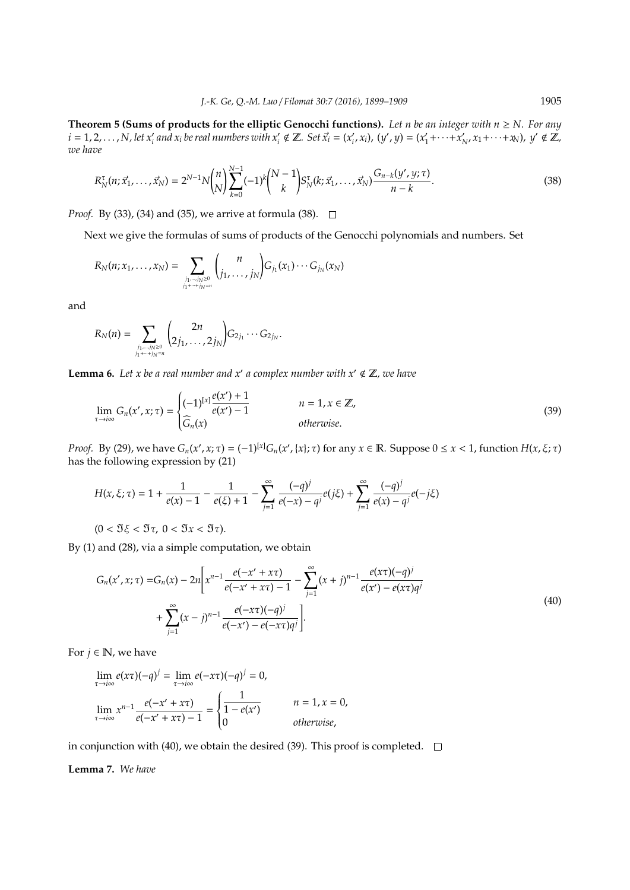**Theorem 5 (Sums of products for the elliptic Genocchi functions).** Let n be an integer with  $n \ge N$ . For any  $i = 1, 2, \ldots, N$ , let  $x'_i$  and  $x_i$  be real numbers with  $x'_i \notin \mathbb{Z}$ . Set  $\vec{x}_i = (x'_i)$  $(y', x_i)$ ,  $(y', y) = (x'_1)$  $x_1' + \cdots + x_l'$  $\chi'_{N'}$ ,  $x_1 + \cdots + x_N$ ),  $y' \notin \mathbb{Z}$ , *we have*

$$
R_N^{\tau}(n; \vec{x}_1, \dots, \vec{x}_N) = 2^{N-1} N \binom{n}{N} \sum_{k=0}^{N-1} (-1)^k \binom{N-1}{k} S_N^{\tau}(k; \vec{x}_1, \dots, \vec{x}_N) \frac{G_{n-k}(y', y; \tau)}{n-k}.
$$
\n(38)

*Proof.* By (33), (34) and (35), we arrive at formula (38). □

Next we give the formulas of sums of products of the Genocchi polynomials and numbers. Set

$$
R_N(n; x_1, ..., x_N) = \sum_{\substack{j_1, ..., j_N \geq 0 \\ j_1 + ... + j_N = n}} {n \choose j_1, ..., j_N} G_{j_1}(x_1) \cdots G_{j_N}(x_N)
$$

and

$$
R_N(n) = \sum_{\substack{j_1,\dots,j_N \geq 0 \\ j_1+\dots+j_N=n}} \binom{2n}{2j_1,\dots,2j_N} G_{2j_1}\cdots G_{2j_N}.
$$

**Lemma 6.** Let x be a real number and x' a complex number with  $x' \notin \mathbb{Z}$ , we have

$$
\lim_{\tau \to i\infty} G_n(x', x; \tau) = \begin{cases} (-1)^{[x]} \frac{e(x') + 1}{e(x') - 1} & n = 1, x \in \mathbb{Z}, \\ \widehat{G}_n(x) & \text{otherwise.} \end{cases} \tag{39}
$$

*Proof.* By (29), we have  $G_n(x', x; \tau) = (-1)^{[x]} G_n(x', \{x\}; \tau)$  for any  $x \in \mathbb{R}$ . Suppose  $0 \le x < 1$ , function  $H(x, \xi; \tau)$ has the following expression by (21)

$$
H(x,\xi;\tau) = 1 + \frac{1}{e(x) - 1} - \frac{1}{e(\xi) + 1} - \sum_{j=1}^{\infty} \frac{(-q)^j}{e(-x) - q^j} e(j\xi) + \sum_{j=1}^{\infty} \frac{(-q)^j}{e(x) - q^j} e(-j\xi)
$$

 $(0 < \Im \xi < \Im \tau, 0 < \Im x < \Im \tau).$ 

By (1) and (28), via a simple computation, we obtain

$$
G_n(x', x; \tau) = G_n(x) - 2n \bigg[ x^{n-1} \frac{e(-x' + x\tau)}{e(-x' + x\tau) - 1} - \sum_{j=1}^{\infty} (x + j)^{n-1} \frac{e(x\tau)(-q)^j}{e(x') - e(x\tau)q^j} + \sum_{j=1}^{\infty} (x - j)^{n-1} \frac{e(-x\tau)(-q)^j}{e(-x') - e(-x\tau)q^j} \bigg].
$$
\n(40)

For  $j \in \mathbb{N}$ , we have

$$
\lim_{\tau \to i\infty} e(x\tau)(-q)^j = \lim_{\tau \to i\infty} e(-x\tau)(-q)^j = 0,
$$
\n
$$
\lim_{\tau \to i\infty} x^{n-1} \frac{e(-x' + x\tau)}{e(-x' + x\tau) - 1} = \begin{cases} \frac{1}{1 - e(x')} & n = 1, x = 0, \\ 0 & \text{otherwise,} \end{cases}
$$

in conjunction with (40), we obtain the desired (39). This proof is completed.  $\square$ 

## **Lemma 7.** *We have*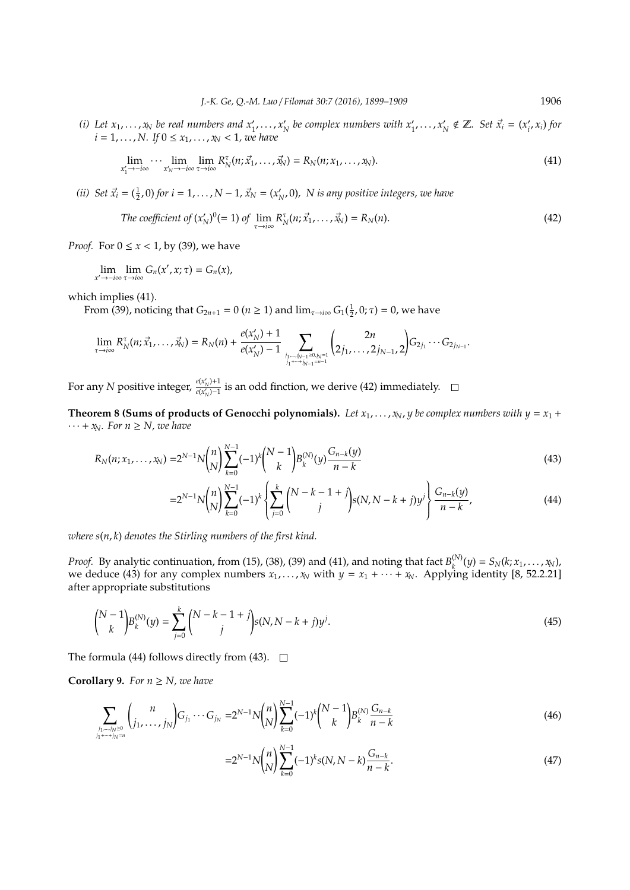(*i*) Let  $x_1, \ldots, x_N$  be real numbers and  $x'_1, \ldots, x'_N$  $\mathcal{X}_N$  be complex numbers with  $x'_1, \ldots, x'_N$  $\gamma_N \notin \mathbb{Z}$ *. Set*  $\vec{x}_i = (x_i)$ *i* , *xi*) *for*  $i = 1, ..., N$ . If  $0 \le x_1, ..., x_N < 1$ , we have

$$
\lim_{x_1' \to -i\infty} \cdots \lim_{x_N' \to -i\infty} \lim_{\tau \to i\infty} R_N^{\tau}(n; \vec{x}_1, \dots, \vec{x}_N) = R_N(n; x_1, \dots, x_N).
$$
\n(41)

*(ii) Set*  $\vec{x}_i = (\frac{1}{2}, 0)$  *for*  $i = 1, ..., N - 1$ ,  $\vec{x}_N = (x'_k)$ *N* , 0)*, N is any positive integers, we have*

The coefficient of 
$$
(x'_N)^0 (= 1)
$$
 of  $\lim_{\tau \to i\infty} R_N^{\tau}(n; \vec{x}_1, \dots, \vec{x}_N) = R_N(n)$ . (42)

*Proof.* For  $0 \le x < 1$ , by (39), we have

$$
\lim_{x'\to -i\infty}\lim_{\tau\to i\infty}G_n(x',x;\tau)=G_n(x),
$$

which implies (41).

From (39), noticing that *G*<sub>2*n*+1</sub> = 0 (*n* ≥ 1) and  $\lim_{τ \to i\infty} G_1(\frac{1}{2}, 0; τ) = 0$ , we have

$$
\lim_{\tau \to i \infty} R_N^{\tau}(n; \vec{x}_1, \ldots, \vec{x}_N) = R_N(n) + \frac{e(x'_N) + 1}{e(x'_N) - 1} \sum_{j_1, \ldots, j_{N-1} \geq 0, j_{N-1} \atop j_1 + \cdots + j_{N-1} = n-1} \binom{2n}{2j_1, \ldots, 2j_{N-1}, 2} G_{2j_1} \cdots G_{2j_{N-1}}.
$$

For any *N* positive integer,  $\frac{e(x_N')+1}{e(x_N')-1}$  $\frac{P(X|X) + 1}{P(X|X) - 1}$  is an odd finction, we derive (42) immediately.

**Theorem 8 (Sums of products of Genocchi polynomials).** Let  $x_1, \ldots, x_N$ , *y* be complex numbers with  $y = x_1 + y_2$  $\cdots$  +  $x_N$ *. For n*  $\geq$  *N, we have* 

$$
R_N(n; x_1, \dots, x_N) = 2^{N-1} N \binom{n}{N} \sum_{k=0}^{N-1} (-1)^k \binom{N-1}{k} B_k^{(N)}(y) \frac{G_{n-k}(y)}{n-k}
$$
(43)

$$
=2^{N-1}N\binom{n}{N}\sum_{k=0}^{N-1}(-1)^k\left\{\sum_{j=0}^k\binom{N-k-1+j}{j}s(N,N-k+j)y^j\right\}\frac{G_{n-k}(y)}{n-k},\tag{44}
$$

*where s*(*n*, *k*) *denotes the Stirling numbers of the first kind.*

*Proof.* By analytic continuation, from (15), (38), (39) and (41), and noting that fact  $B_k^{(N)}$  $S_k^{(N)}(y) = S_N(k; x_1, \ldots, x_N),$ we deduce (43) for any complex numbers  $x_1, \ldots, x_N$  with  $y = x_1 + \cdots + x_N$ . Applying identity [8, 52.2.21] after appropriate substitutions

$$
\binom{N-1}{k} B_k^{(N)}(y) = \sum_{j=0}^k \binom{N-k-1+j}{j} s(N, N-k+j) y^j.
$$
\n(45)

The formula (44) follows directly from (43).  $\Box$ 

**Corollary 9.** *For*  $n \geq N$ *, we have* 

$$
\sum_{\substack{j_1,\dots,j_N\geq 0\\j_1+\dots+j_N=n}}\binom{n}{j_1,\dots,j_N}G_{j_1}\cdots G_{j_N}=2^{N-1}N\binom{n}{N}\sum_{k=0}^{N-1}(-1)^k\binom{N-1}{k}B_k^{(N)}\frac{G_{n-k}}{n-k}
$$
(46)

$$
=2^{N-1}N\binom{n}{N}\sum_{k=0}^{N-1}(-1)^k s(N,N-k)\frac{G_{n-k}}{n-k}.\tag{47}
$$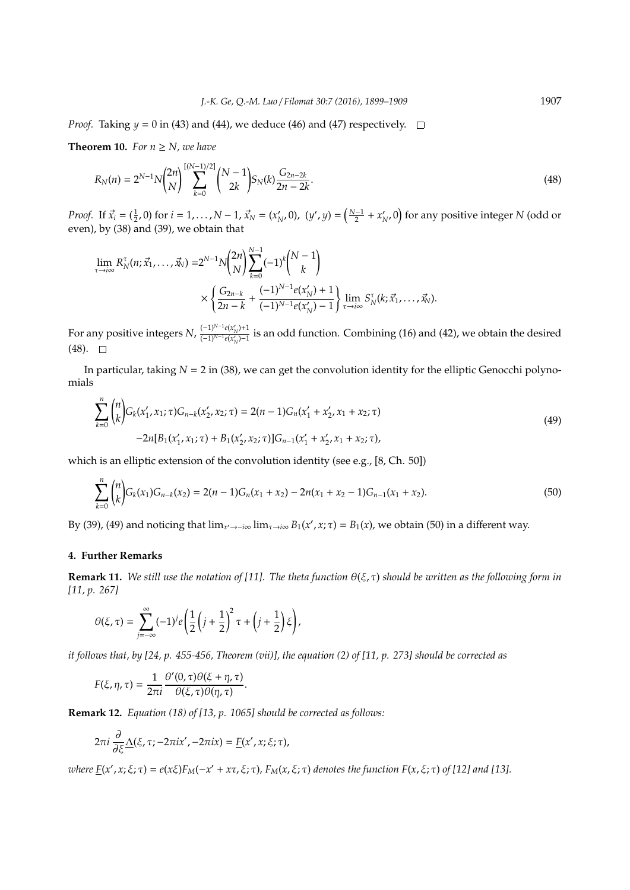*Proof.* Taking  $y = 0$  in (43) and (44), we deduce (46) and (47) respectively.  $\Box$ 

**Theorem 10.** *For*  $n \geq N$ *, we have* 

$$
R_N(n) = 2^{N-1} N \binom{2n}{N} \sum_{k=0}^{\left\lfloor (N-1)/2 \right\rfloor} \binom{N-1}{2k} S_N(k) \frac{G_{2n-2k}}{2n-2k}.
$$
\n(48)

*Proof.* If  $\vec{x}_i = (\frac{1}{2}, 0)$  for  $i = 1, ..., N - 1$ ,  $\vec{x}_N = (x'_k)$  $(y', y) = \left(\frac{N-1}{2} + x'_1\right)$  $\mathcal{N}_{N'}$ 0) for any positive integer *N* (odd or even), by (38) and (39), we obtain that

$$
\lim_{\tau \to i\infty} R_N^{\tau}(n; \vec{x}_1, \dots, \vec{x}_N) = 2^{N-1} N {2n \choose N} \sum_{k=0}^{N-1} (-1)^k {N-1 \choose k} \\ \times \left\{ \frac{G_{2n-k}}{2n-k} + \frac{(-1)^{N-1} e(x'_N) + 1}{(-1)^{N-1} e(x'_N) - 1} \right\} \lim_{\tau \to i\infty} S_N^{\tau}(k; \vec{x}_1, \dots, \vec{x}_N).
$$

For any positive integers  $N$ ,  $\frac{(-1)^{N-1}e(x'_N)+1}{(-1)^{N-1}e(x'_N)-1}$  is an odd function. Combining (16) and (42), we obtain the desired  $(48)$ .  $\Box$ 

In particular, taking  $N = 2$  in (38), we can get the convolution identity for the elliptic Genocchi polynomials

$$
\sum_{k=0}^{n} {n \choose k} G_k(x'_1, x_1; \tau) G_{n-k}(x'_2, x_2; \tau) = 2(n-1)G_n(x'_1 + x'_2, x_1 + x_2; \tau)
$$
  
-2n[B<sub>1</sub>(x'<sub>1</sub>, x<sub>1</sub>; \tau) + B<sub>1</sub>(x'<sub>2</sub>, x<sub>2</sub>; \tau)]G<sub>n-1</sub>(x'<sub>1</sub> + x'<sub>2</sub>, x<sub>1</sub> + x<sub>2</sub>; \tau), (49)

which is an elliptic extension of the convolution identity (see e.g., [8, Ch. 50])

$$
\sum_{k=0}^{n} {n \choose k} G_k(x_1) G_{n-k}(x_2) = 2(n-1)G_n(x_1+x_2) - 2n(x_1+x_2-1)G_{n-1}(x_1+x_2). \tag{50}
$$

By (39), (49) and noticing that  $\lim_{x'\to -i\infty} \lim_{\tau\to i\infty} B_1(x', x; \tau) = B_1(x)$ , we obtain (50) in a different way.

## **4. Further Remarks**

**Remark 11.** *We still use the notation of [11]. The theta function* θ(ξ, τ) *should be written as the following form in [11, p. 267]*

$$
\theta(\xi,\tau)=\sum_{j=-\infty}^{\infty}(-1)^{j}e\left(\frac{1}{2}\left(j+\frac{1}{2}\right)^{2}\tau+\left(j+\frac{1}{2}\right)\xi\right),
$$

*it follows that, by [24, p. 455-456, Theorem (vii)], the equation (2) of [11, p. 273] should be corrected as*

$$
F(\xi, \eta, \tau) = \frac{1}{2\pi i} \frac{\theta'(0, \tau) \theta(\xi + \eta, \tau)}{\theta(\xi, \tau) \theta(\eta, \tau)}.
$$

**Remark 12.** *Equation (18) of [13, p. 1065] should be corrected as follows:*

$$
2\pi i \frac{\partial}{\partial \xi} \underline{\Lambda}(\xi, \tau; -2\pi i x', -2\pi i x) = \underline{F}(x', x; \xi; \tau),
$$

 $where \underline{F}(x', x; \xi; \tau) = e(x\xi)F_M(-x' + x\tau, \xi; \tau)$ ,  $F_M(x, \xi; \tau)$  denotes the function  $F(x, \xi; \tau)$  of [12] and [13].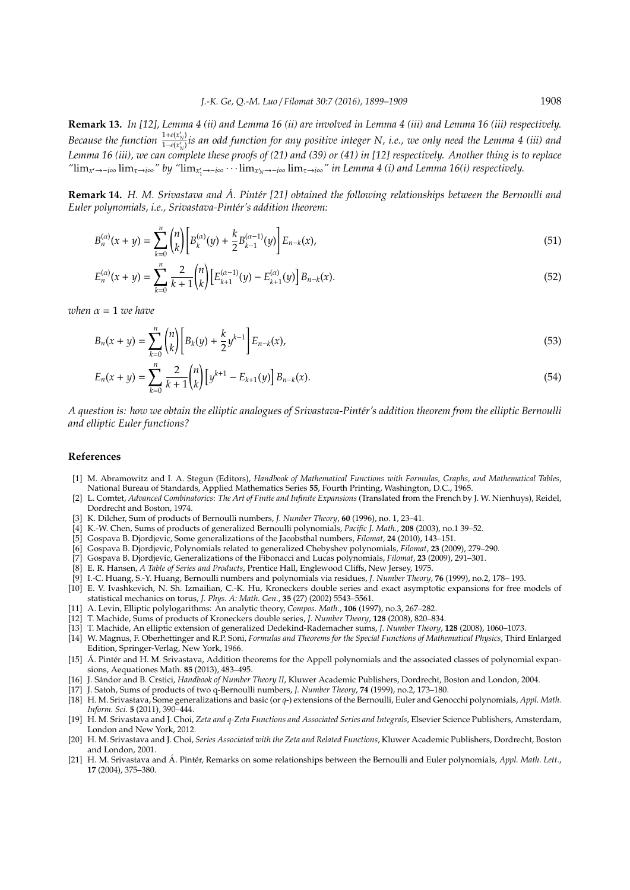**Remark 13.** *In [12], Lemma 4 (ii) and Lemma 16 (ii) are involved in Lemma 4 (iii) and Lemma 16 (iii) respectively. Because the function*  $\frac{1+e(x'_N)}{1-e(x'_N)}$  *is an odd function for any positive integer N, i.e., we only need the Lemma 4 (iii) and Lemma 16 (iii), we can complete these proofs of (21) and (39) or (41) in [12] respectively. Another thing is to replace*  $\lim_{x' \to -i\infty} \lim_{\tau \to i\infty}$ " by " $\lim_{x'_1 \to -i\infty} \cdots \lim_{x'_N \to -i\infty} \lim_{\tau \to i\infty}$ " *in Lemma 4 (i) and Lemma 16(i) respectively.* 

**Remark 14.** *H. M. Srivastava and A. Pintér [21] obtained the following relationships between the Bernoulli and Euler polynomials, i.e., Srivastava-Pint´er's addition theorem:*

$$
B_n^{(\alpha)}(x+y) = \sum_{k=0}^n \binom{n}{k} \left[ B_k^{(\alpha)}(y) + \frac{k}{2} B_{k-1}^{(\alpha-1)}(y) \right] E_{n-k}(x),\tag{51}
$$

$$
E_n^{(\alpha)}(x+y) = \sum_{k=0}^n \frac{2}{k+1} {n \choose k} \Big[ E_{k+1}^{(\alpha-1)}(y) - E_{k+1}^{(\alpha)}(y) \Big] B_{n-k}(x). \tag{52}
$$

*when*  $\alpha = 1$  *we have* 

$$
B_n(x+y) = \sum_{k=0}^n \binom{n}{k} \bigg[ B_k(y) + \frac{k}{2} y^{k-1} \bigg] E_{n-k}(x), \tag{53}
$$

$$
E_n(x+y) = \sum_{k=0}^n \frac{2}{k+1} {n \choose k} \left[ y^{k+1} - E_{k+1}(y) \right] B_{n-k}(x).
$$
 (54)

*A question is: how we obtain the elliptic analogues of Srivastava-Pint´er's addition theorem from the elliptic Bernoulli and elliptic Euler functions?*

## **References**

- [1] M. Abramowitz and I. A. Stegun (Editors), *Handbook of Mathematical Functions with Formulas, Graphs, and Mathematical Tables*, National Bureau of Standards, Applied Mathematics Series **55**, Fourth Printing, Washington, D.C., 1965.
- [2] L. Comtet, *Advanced Combinatorics*: *The Art of Finite and Infinite Expansions* (Translated from the French by J. W. Nienhuys), Reidel, Dordrecht and Boston, 1974.
- [3] K. Dilcher, Sum of products of Bernoulli numbers, *J. Number Theory*, **60** (1996), no. 1, 23–41.
- [4] K.-W. Chen, Sums of products of generalized Bernoulli polynomials, *Pacific J. Math.*, **208** (2003), no.1 39–52.
- [5] Gospava B. Djordjevic, Some generalizations of the Jacobsthal numbers, *Filomat*, **24** (2010), 143–151.
- [6] Gospava B. Djordjevic, Polynomials related to generalized Chebyshev polynomials, *Filomat*, **23** (2009), 279–290.
- [7] Gospava B. Djordjevic, Generalizations of the Fibonacci and Lucas polynomials, *Filomat*, **23** (2009), 291–301.
- [8] E. R. Hansen, *A Table of Series and Products*, Prentice Hall, Englewood Cliffs, New Jersey, 1975.
- [9] I.-C. Huang, S.-Y. Huang, Bernoulli numbers and polynomials via residues, *J. Number Theory*, **76** (1999), no.2, 178– 193.
- [10] E. V. Ivashkevich, N. Sh. Izmailian, C.-K. Hu, Kroneckers double series and exact asymptotic expansions for free models of statistical mechanics on torus, *J. Phys. A: Math. Gen.*, **35** (27) (2002) 5543–5561.
- [11] A. Levin, Elliptic polylogarithms: An analytic theory, *Compos. Math.*, **106** (1997), no.3, 267–282.
- [12] T. Machide, Sums of products of Kroneckers double series, *J. Number Theory*, **128** (2008), 820–834.
- [13] T. Machide, An elliptic extension of generalized Dedekind-Rademacher sums, *J. Number Theory*, **128** (2008), 1060–1073.
- [14] W. Magnus, F. Oberhettinger and R.P. Soni, *Formulas and Theorems for the Special Functions of Mathematical Physics*, Third Enlarged Edition, Springer-Verlag, New York, 1966.
- [15] Á. Pintér and H. M. Srivastava, Addition theorems for the Appell polynomials and the associated classes of polynomial expansions, Aequationes Math. **85** (2013), 483–495.
- [16] J. Sándor and B. Crstici, *Handbook of Number Theory II*, Kluwer Academic Publishers, Dordrecht, Boston and London, 2004.
- [17] J. Satoh, Sums of products of two q-Bernoulli numbers, *J. Number Theory*, **74** (1999), no.2, 173–180.
- [18] H. M. Srivastava, Some generalizations and basic (or *q*-) extensions of the Bernoulli, Euler and Genocchi polynomials, *Appl. Math. Inform. Sci.* **5** (2011), 390–444.
- [19] H. M. Srivastava and J. Choi, *Zeta and q-Zeta Functions and Associated Series and Integrals*, Elsevier Science Publishers, Amsterdam, London and New York, 2012.
- [20] H. M. Srivastava and J. Choi, Series Associated with the Zeta and Related Functions, Kluwer Academic Publishers, Dordrecht, Boston and London, 2001.
- [21] H. M. Srivastava and Á. Pintér, Remarks on some relationships between the Bernoulli and Euler polynomials, Appl. Math. Lett., **17** (2004), 375–380.